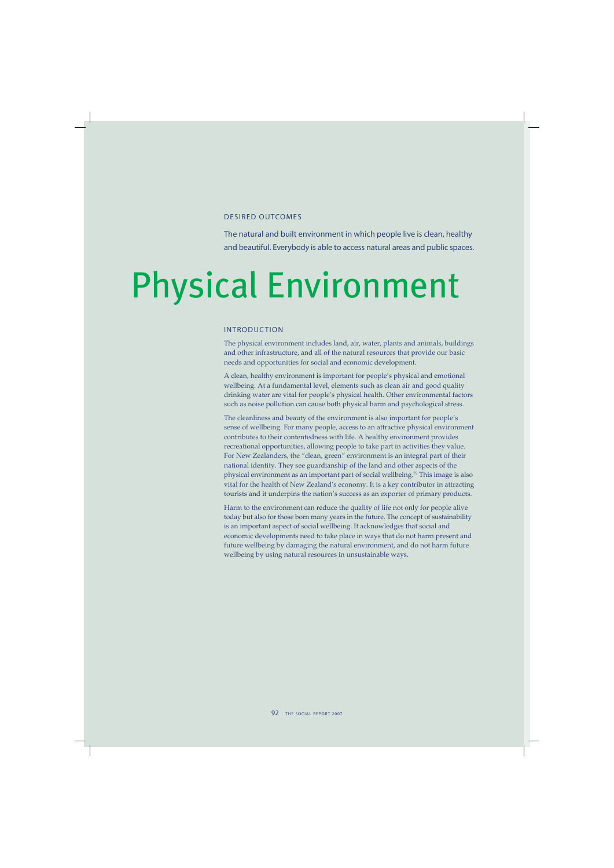### DESIRED OUTCOMES

The natural and built environment in which people live is clean, healthy and beautiful. Everybody is able to access natural areas and public spaces.

# Physical Environment

## INTRODUCTION

The physical environment includes land, air, water, plants and animals, buildings and other infrastructure, and all of the natural resources that provide our basic needs and opportunities for social and economic development.

A clean, healthy environment is important for people's physical and emotional wellbeing. At a fundamental level, elements such as clean air and good quality drinking water are vital for people's physical health. Other environmental factors such as noise pollution can cause both physical harm and psychological stress.

The cleanliness and beauty of the environment is also important for people's sense of wellbeing. For many people, access to an attractive physical environment contributes to their contentedness with life. A healthy environment provides recreational opportunities, allowing people to take part in activities they value. For New Zealanders, the "clean, green" environment is an integral part of their national identity. They see guardianship of the land and other aspects of the physical environment as an important part of social wellbeing.<sup>79</sup> This image is also vital for the health of New Zealand's economy. It is a key contributor in attracting tourists and it underpins the nation's success as an exporter of primary products.

Harm to the environment can reduce the quality of life not only for people alive today but also for those born many years in the future. The concept of sustainability is an important aspect of social wellbeing. It acknowledges that social and economic developments need to take place in ways that do not harm present and future wellbeing by damaging the natural environment, and do not harm future wellbeing by using natural resources in unsustainable ways.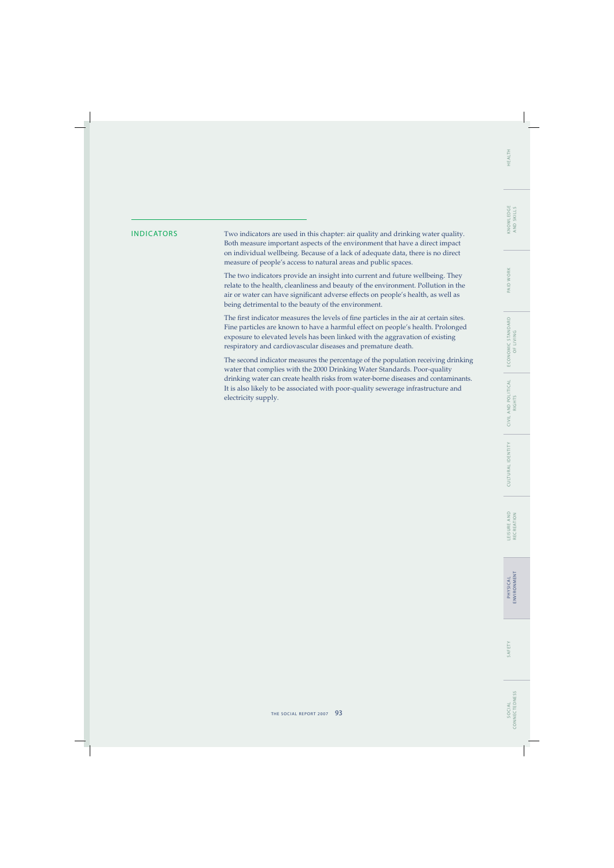WORK PAID V

INDICATORS Two indicators are used in this chapter: air quality and drinking water quality. Both measure important aspects of the environment that have a direct impact on individual wellbeing. Because of a lack of adequate data, there is no direct measure of people's access to natural areas and public spaces.

> The two indicators provide an insight into current and future wellbeing. They relate to the health, cleanliness and beauty of the environment. Pollution in the air or water can have significant adverse effects on people's health, as well as being detrimental to the beauty of the environment.

> The first indicator measures the levels of fine particles in the air at certain sites. Fine particles are known to have a harmful effect on people's health. Prolonged exposure to elevated levels has been linked with the aggravation of existing respiratory and cardiovascular diseases and premature death.

The second indicator measures the percentage of the population receiving drinking water that complies with the 2000 Drinking Water Standards. Poor-quality drinking water can create health risks from water-borne diseases and contaminants. It is also likely to be associated with poor-quality sewerage infrastructure and electricity supply.

SAFETY P HYS I C A L

SAFETY

ENVIRONMENT

**PHYSICAL**<br>ENVIRONMENT

L E I S U R E A N D RECREATION

LEISURE AND<br>RECREATION

CULTURAL IDENTIT Y C I V I L A N D P O L I T I C A L

CULTURAL IDENTITY

CIVIL AND POLITICAL<br>RIGHTS

E CO N O M I C S TA N DA R D OF LIVING

ECONOMIC STANDARD<br>OF LIVING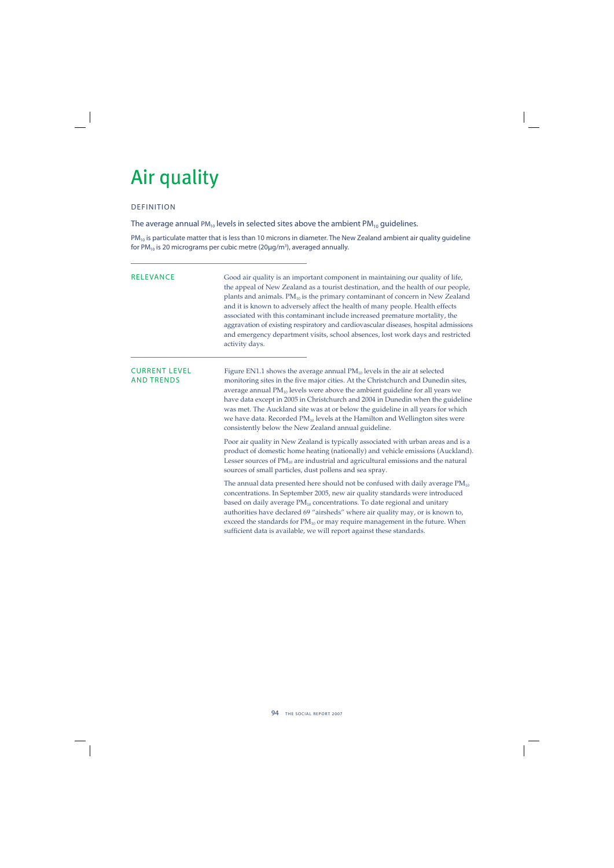## Air quality

## DEFINITION

The average annual  $PM_{10}$  levels in selected sites above the ambient  $PM_{10}$  guidelines.

 $PM_{10}$  is particulate matter that is less than 10 microns in diameter. The New Zealand ambient air quality guideline for PM $_{10}$  is 20 micrograms per cubic metre (20μg/m $^3$ ), averaged annually.

RELEVANCE Good air quality is an important component in maintaining our quality of life, the appeal of New Zealand as a tourist destination, and the health of our people, plants and animals.  $PM_{10}$  is the primary contaminant of concern in New Zealand and it is known to adversely affect the health of many people. Health effects associated with this contaminant include increased premature mortality, the aggravation of existing respiratory and cardiovascular diseases, hospital admissions and emergency department visits, school absences, lost work days and restricted activity days.

**CURRENT LEVEL** Figure EN1.1 shows the average annual  $PM_{10}$  levels in the air at selected AND TRENDS monitoring sites in the five major cities. At the Christchurch and Dunedin sites, average annual  $PM_{10}$  levels were above the ambient guideline for all years we have data except in 2005 in Christchurch and 2004 in Dunedin when the guideline was met. The Auckland site was at or below the guideline in all years for which we have data. Recorded  $PM_{10}$  levels at the Hamilton and Wellington sites were consistently below the New Zealand annual guideline.

> Poor air quality in New Zealand is typically associated with urban areas and is a product of domestic home heating (nationally) and vehicle emissions (Auckland). Lesser sources of  $PM_{10}$  are industrial and agricultural emissions and the natural sources of small particles, dust pollens and sea spray.

The annual data presented here should not be confused with daily average  $PM_{10}$ concentrations. In September 2005, new air quality standards were introduced based on daily average  $PM_{10}$  concentrations. To date regional and unitary authorities have declared 69 "airsheds" where air quality may, or is known to, exceed the standards for  $PM_{10}$  or may require management in the future. When sufficient data is available, we will report against these standards.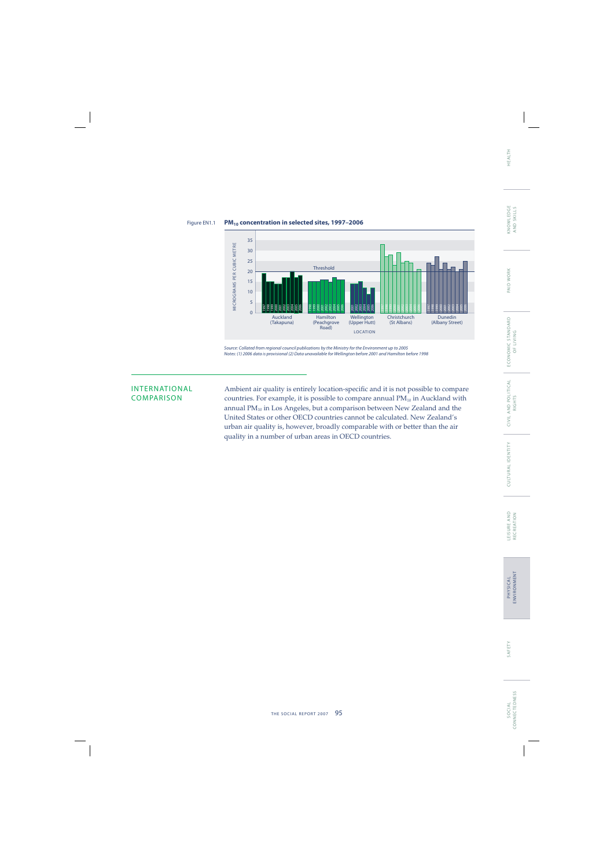PAID WORK

SOCIAL<br>CONNECTEDNESS CONNECTEDNESS S O C I A L





Source: Collated from regional council publications by the Ministry for the Environment up to 2005

INTERNATIONAL Ambient air quality is entirely location-specific and it is not possible to compare<br>COMPARISON countries. For example, it is possible to compare annual  $PM_{10}$  in Auckland with countries. For example, it is possible to compare annual  $PM_{10}$  in Auckland with annual  $PM_{10}$  in Los Angeles, but a comparison between New Zealand and the United States or other OECD countries cannot be calculated. New Zealand's urban air quality is, however, broadly comparable with or better than the air quality in a number of urban areas in OECD countries.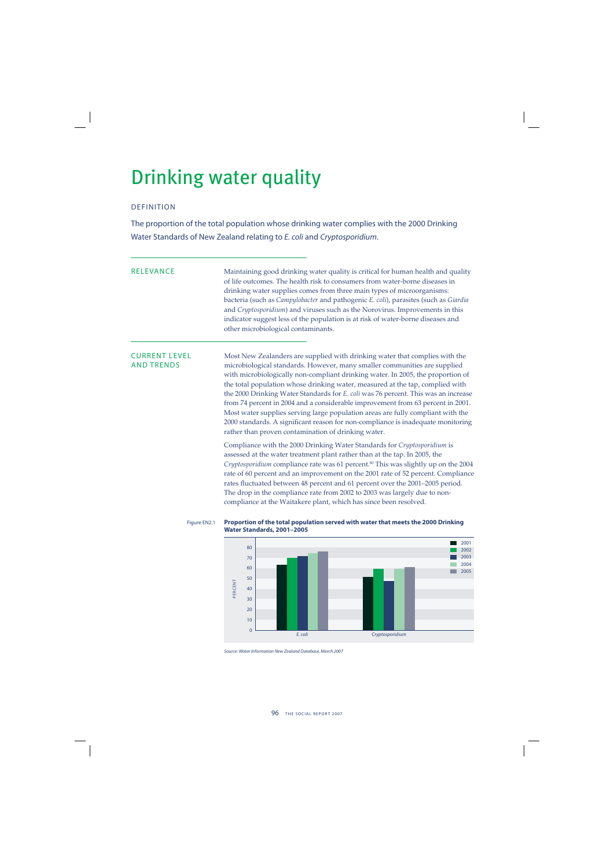## Drinking water quality

## DEFINITION

The proportion of the total population whose drinking water complies with the 2000 Drinking Water Standards of New Zealand relating to E. coli and Cryptosporidium.

RELEVANCE Maintaining good drinking water quality is critical for human health and quality of life outcomes. The health risk to consumers from water-borne diseases in drinking water supplies comes from three main types of microorganisms: bacteria (such as *Campylobacter* and pathogenic *E. coli*), parasites (such as *Giardia* and *Cryptosporidium*) and viruses such as the Norovirus. Improvements in this indicator suggest less of the population is at risk of water-borne diseases and other microbiological contaminants.

CURRENT LEVEL Most New Zealanders are supplied with drinking water that complies with the AND TRENDS microbiological standards. However, many smaller communities are supplied with microbiologically non-compliant drinking water. In 2005, the proportion of the total population whose drinking water, measured at the tap, complied with the 2000 Drinking Water Standards for *E. coli* was 76 percent. This was an increase from 74 percent in 2004 and a considerable improvement from 63 percent in 2001. Most water supplies serving large population areas are fully compliant with the 2000 standards. A significant reason for non-compliance is inadequate monitoring rather than proven contamination of drinking water.

> Compliance with the 2000 Drinking Water Standards for *Cryptosporidium* is assessed at the water treatment plant rather than at the tap. In 2005, the *Cryptosporidium* compliance rate was 61 percent.<sup>80</sup> This was slightly up on the 2004 rate of 60 percent and an improvement on the 2001 rate of 52 percent. Compliance rates fluctuated between 48 percent and 61 percent over the 2001–2005 period. The drop in the compliance rate from 2002 to 2003 was largely due to noncompliance at the Waitakere plant, which has since been resolved.

## Figure EN2.1 **Proportion of the total population served with water that meets the 2000 Drinking**



Source: Water Information New Zealand Database, March 2007